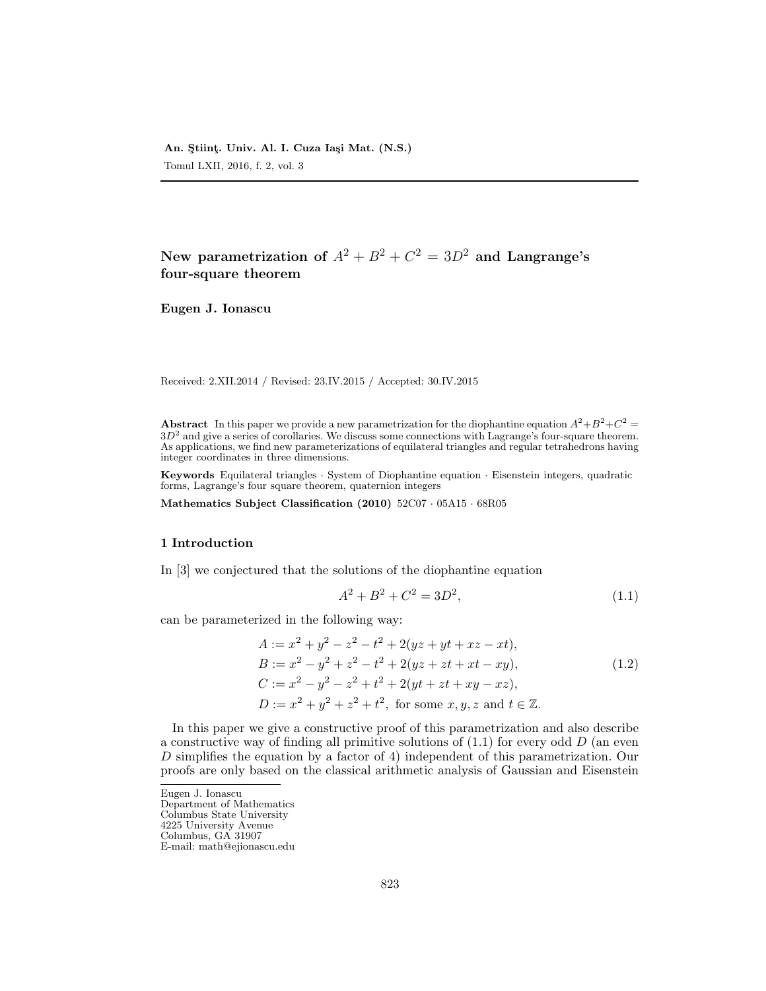New parametrization of  $A^2+B^2+C^2=3D^2$  and Langrange's four-square theorem

Eugen J. Ionascu

Received: 2.XII.2014 / Revised: 23.IV.2015 / Accepted: 30.IV.2015

**Abstract** In this paper we provide a new parametrization for the diophantine equation  $A^2 + B^2 + C^2 =$  $3D<sup>2</sup>$  and give a series of corollaries. We discuss some connections with Lagrange's four-square theorem. As applications, we find new parameterizations of equilateral triangles and regular tetrahedrons having integer coordinates in three dimensions.

Keywords Equilateral triangles · System of Diophantine equation · Eisenstein integers, quadratic forms, Lagrange's four square theorem, quaternion integers

Mathematics Subject Classification (2010) 52C07 · 05A15 · 68R05

# 1 Introduction

In [3] we conjectured that the solutions of the diophantine equation

$$
A^2 + B^2 + C^2 = 3D^2,\tag{1.1}
$$

can be parameterized in the following way:

$$
A := x2 + y2 - z2 - t2 + 2(yz + yt + xz - xt),
$$
  
\n
$$
B := x2 - y2 + z2 - t2 + 2(yz + zt + xt - xy),
$$
  
\n
$$
C := x2 - y2 - z2 + t2 + 2(yt + zt + xy - xz),
$$
  
\n
$$
D := x2 + y2 + z2 + t2, \text{ for some } x, y, z \text{ and } t \in \mathbb{Z}.
$$
\n(1.2)

In this paper we give a constructive proof of this parametrization and also describe a constructive way of finding all primitive solutions of  $(1.1)$  for every odd D (an even D simplifies the equation by a factor of 4) independent of this parametrization. Our proofs are only based on the classical arithmetic analysis of Gaussian and Eisenstein

Eugen J. Ionascu Department of Mathematics

Columbus State University

4225 University Avenue

Columbus, GA 31907

E-mail: math@ejionascu.edu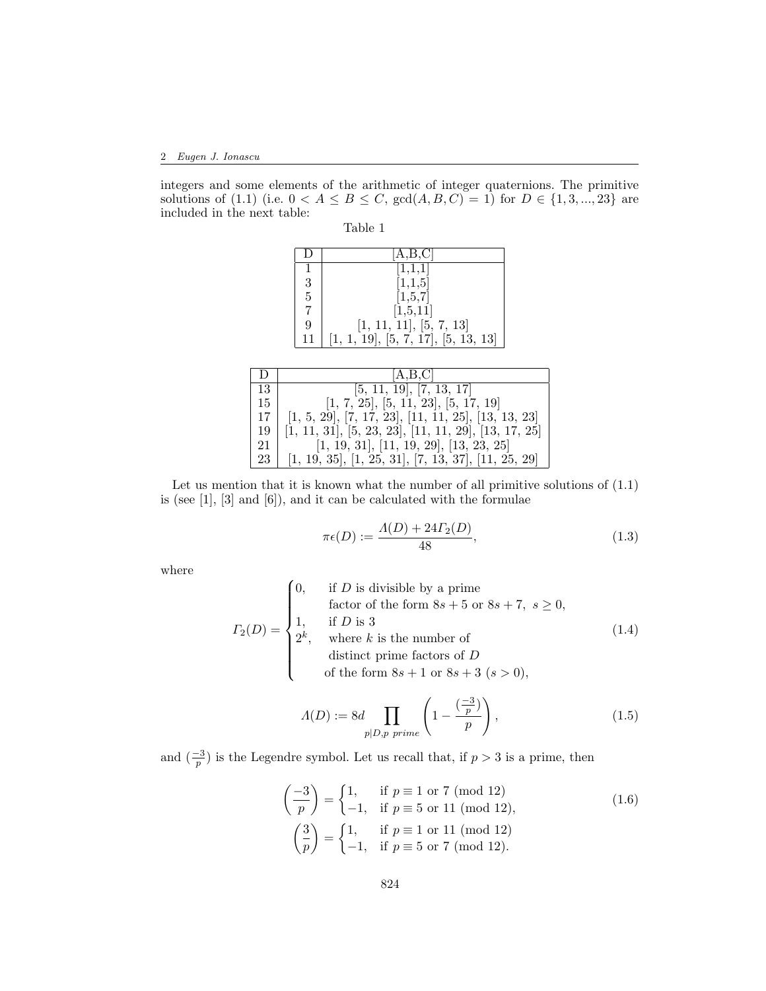integers and some elements of the arithmetic of integer quaternions. The primitive solutions of (1.1) (i.e.  $0 < A \le B \le C$ ,  $gcd(A, B, C) = 1$ ) for  $D \in \{1, 3, ..., 23\}$  are included in the next table:

| able |  |
|------|--|
|      |  |

| $\Box$         | [A,B,C]                             |
|----------------|-------------------------------------|
|                | [1,1,1]                             |
| 3              | [1,1,5]                             |
| $\overline{5}$ | [1,5,7]                             |
| $\overline{7}$ | [1,5,11]                            |
| 9              | [1, 11, 11], [5, 7, 13]             |
| 11             | [1, 1, 19], [5, 7, 17], [5, 13, 13] |

| $\Box$ | [A,B,C]                                                |
|--------|--------------------------------------------------------|
| 13     | [5, 11, 19], [7, 13, 17]                               |
| 15     | [1, 7, 25], [5, 11, 23], [5, 17, 19]                   |
| 17     | $[1, 5, 29], [7, 17, 23], [11, 11, 25], [13, 13, 23]$  |
| 19     | $[1, 11, 31], [5, 23, 23], [11, 11, 29], [13, 17, 25]$ |
| 21     | $[1, 19, 31], [11, 19, 29], [13, 23, 25]$              |
| 23     | $[1, 19, 35], [1, 25, 31], [7, 13, 37], [11, 25, 29]$  |

Let us mention that it is known what the number of all primitive solutions of  $(1.1)$ is (see [1], [3] and [6]), and it can be calculated with the formulae

$$
\pi \epsilon(D) := \frac{\Lambda(D) + 24\Gamma_2(D)}{48},\tag{1.3}
$$

where

$$
I_2(D) = \begin{cases} 0, & \text{if } D \text{ is divisible by a prime} \\ & \text{factor of the form } 8s + 5 \text{ or } 8s + 7, \ s \ge 0, \\ 1, & \text{if } D \text{ is 3} \\ 2^k, & \text{where } k \text{ is the number of} \\ & \text{distinct prime factors of } D \\ & \text{of the form } 8s + 1 \text{ or } 8s + 3 \ (s > 0), \end{cases} \tag{1.4}
$$

$$
\Lambda(D) := 8d \prod_{p|D,p \ prime} \left(1 - \frac{\left(\frac{-3}{p}\right)}{p}\right),\tag{1.5}
$$

and  $\left(\frac{-3}{p}\right)$  is the Legendre symbol. Let us recall that, if  $p > 3$  is a prime, then

$$
\left(\frac{-3}{p}\right) = \begin{cases} 1, & \text{if } p \equiv 1 \text{ or } 7 \pmod{12} \\ -1, & \text{if } p \equiv 5 \text{ or } 11 \pmod{12}, \end{cases}
$$
\n
$$
\left(\frac{3}{p}\right) = \begin{cases} 1, & \text{if } p \equiv 1 \text{ or } 11 \pmod{12} \\ -1, & \text{if } p \equiv 5 \text{ or } 7 \pmod{12}. \end{cases}
$$
\n(1.6)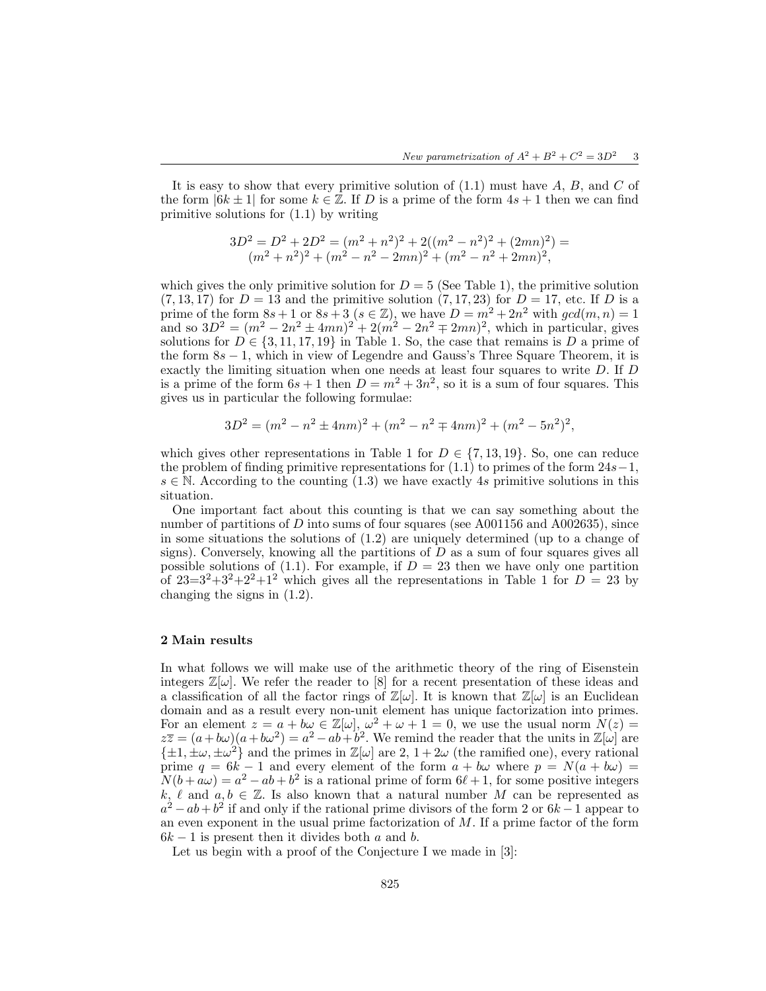It is easy to show that every primitive solution of  $(1.1)$  must have A, B, and C of the form  $|6k \pm 1|$  for some  $k \in \mathbb{Z}$ . If D is a prime of the form  $4s + 1$  then we can find primitive solutions for (1.1) by writing

$$
3D^{2} = D^{2} + 2D^{2} = (m^{2} + n^{2})^{2} + 2((m^{2} - n^{2})^{2} + (2mn)^{2}) = (m^{2} + n^{2})^{2} + (m^{2} - n^{2} - 2mn)^{2} + (m^{2} - n^{2} + 2mn)^{2},
$$

which gives the only primitive solution for  $D = 5$  (See Table 1), the primitive solution  $(7, 13, 17)$  for  $D = 13$  and the primitive solution  $(7, 17, 23)$  for  $D = 17$ , etc. If D is a prime of the form  $8s + 1$  or  $8s + 3$  ( $s \in \mathbb{Z}$ ), we have  $D = m^2 + 2n^2$  with  $gcd(m, n) = 1$ and so  $3D^2 = (m^2 - 2n^2 \pm 4mn)^2 + 2(m^2 - 2n^2 \mp 2mn)^2$ , which in particular, gives solutions for  $D \in \{3, 11, 17, 19\}$  in Table 1. So, the case that remains is D a prime of the form  $8s - 1$ , which in view of Legendre and Gauss's Three Square Theorem, it is exactly the limiting situation when one needs at least four squares to write D. If D is a prime of the form  $6s + 1$  then  $D = m^2 + 3n^2$ , so it is a sum of four squares. This gives us in particular the following formulae:

$$
3D^{2} = (m^{2} - n^{2} \pm 4nm)^{2} + (m^{2} - n^{2} \mp 4nm)^{2} + (m^{2} - 5n^{2})^{2},
$$

which gives other representations in Table 1 for  $D \in \{7, 13, 19\}$ . So, one can reduce the problem of finding primitive representations for  $(1.1)$  to primes of the form  $24s-1$ ,  $s \in \mathbb{N}$ . According to the counting (1.3) we have exactly 4s primitive solutions in this situation.

One important fact about this counting is that we can say something about the number of partitions of D into sums of four squares (see  $A001156$  and  $A002635$ ), since in some situations the solutions of (1.2) are uniquely determined (up to a change of signs). Conversely, knowing all the partitions of  $D$  as a sum of four squares gives all possible solutions of (1.1). For example, if  $D = 23$  then we have only one partition of  $23=3^2+3^2+2^2+1^2$  which gives all the representations in Table 1 for  $D=23$  by changing the signs in (1.2).

## 2 Main results

In what follows we will make use of the arithmetic theory of the ring of Eisenstein integers  $\mathbb{Z}[\omega]$ . We refer the reader to [8] for a recent presentation of these ideas and a classification of all the factor rings of  $\mathbb{Z}[\omega]$ . It is known that  $\mathbb{Z}[\omega]$  is an Euclidean domain and as a result every non-unit element has unique factorization into primes. For an element  $z = a + b\omega \in \mathbb{Z}[\omega], \omega^2 + \omega + 1 = 0$ , we use the usual norm  $N(z) =$  $z\overline{z} = (a+b\omega)(a+b\omega^2) = a^2 - ab + b^2$ . We remind the reader that the units in  $\mathbb{Z}[\omega]$  are  $\{\pm 1, \pm \omega, \pm \omega^2\}$  and the primes in  $\mathbb{Z}[\omega]$  are 2,  $1 + 2\omega$  (the ramified one), every rational prime  $q = 6k - 1$  and every element of the form  $a + b\omega$  where  $p = N(a + b\omega) =$  $N(b + a\omega) = a^2 - ab + b^2$  is a rational prime of form  $6\ell + 1$ , for some positive integers k,  $\ell$  and  $a, b \in \mathbb{Z}$ . Is also known that a natural number M can be represented as  $a^2 - ab + b^2$  if and only if the rational prime divisors of the form 2 or  $6k - 1$  appear to an even exponent in the usual prime factorization of M. If a prime factor of the form  $6k-1$  is present then it divides both a and b.

Let us begin with a proof of the Conjecture I we made in [3]: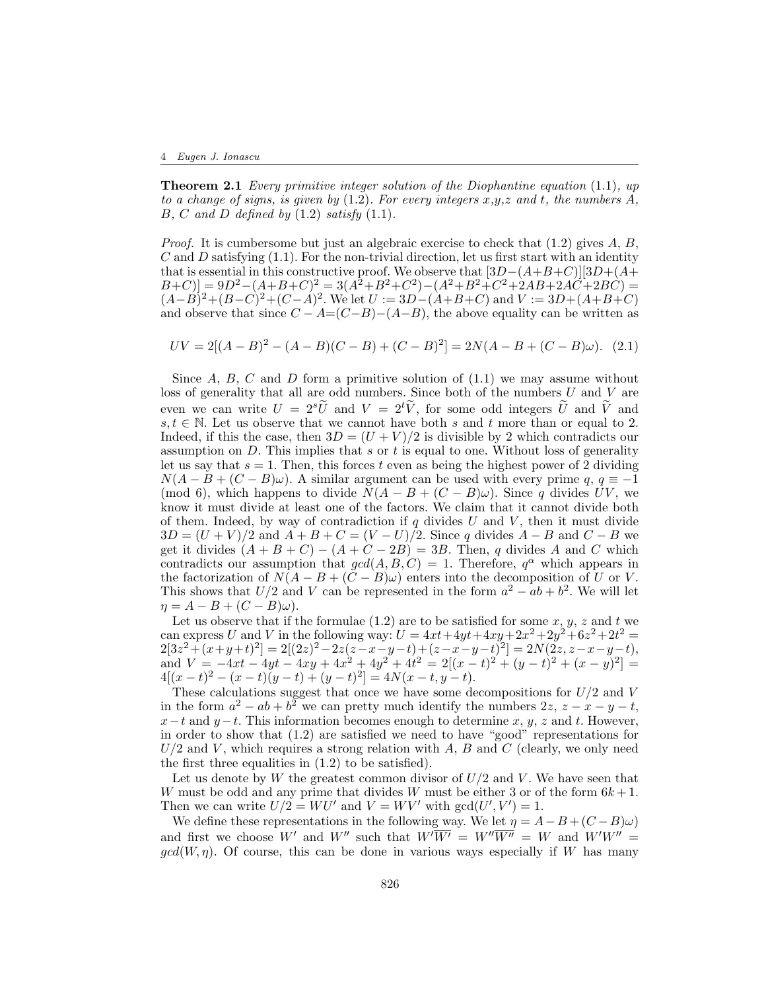#### 4 Eugen J. Ionascu

**Theorem 2.1** Every primitive integer solution of the Diophantine equation  $(1.1)$ , up to a change of signs, is given by  $(1.2)$ . For every integers x,y,z and t, the numbers A, B, C and D defined by  $(1.2)$  satisfy  $(1.1)$ .

*Proof.* It is cumbersome but just an algebraic exercise to check that  $(1.2)$  gives A, B, C and D satisfying  $(1.1)$ . For the non-trivial direction, let us first start with an identity that is essential in this constructive proof. We observe that  $[3D-(A+B+C)][3D+(A+C)]$  $(B+C) = 9D^2 - (A+B+C)^2 = 3(A^2+B^2+C^2) - (A^2+B^2+C^2+2AB+2A\ddot{C}+2BC) =$  $(A-B)^2 + (B-C)^2 + (C-A)^2$ . We let  $U := 3D-(A+B+C)$  and  $V := 3D+(A+B+C)$ and observe that since  $C - A = (C - B) - (A - B)$ , the above equality can be written as

$$
UV = 2[(A - B)^{2} - (A - B)(C - B) + (C - B)^{2}] = 2N(A - B + (C - B)\omega). \tag{2.1}
$$

Since  $A, B, C$  and  $D$  form a primitive solution of  $(1.1)$  we may assume without loss of generality that all are odd numbers. Since both of the numbers  $U$  and  $V$  are even we can write  $U = 2^{s}\tilde{U}$  and  $V = 2^{t}\tilde{V}$ , for some odd integers  $\tilde{U}$  and  $\tilde{V}$  and  $s, t \in \mathbb{N}$ . Let us observe that we cannot have both s and t more than or equal to 2. Indeed, if this the case, then  $3D = (U + V)/2$  is divisible by 2 which contradicts our assumption on  $D$ . This implies that s or t is equal to one. Without loss of generality let us say that  $s = 1$ . Then, this forces t even as being the highest power of 2 dividing  $N(A - B + (C - B)\omega)$ . A similar argument can be used with every prime q,  $q \equiv -1$ (mod 6), which happens to divide  $N(A - B + (C - B)\omega)$ . Since q divides UV, we know it must divide at least one of the factors. We claim that it cannot divide both of them. Indeed, by way of contradiction if  $q$  divides U and V, then it must divide  $3D = (U + V)/2$  and  $A + B + C = (V - U)/2$ . Since q divides  $A - B$  and  $C - B$  we get it divides  $(A + B + C) - (A + C - 2B) = 3B$ . Then, q divides A and C which contradicts our assumption that  $gcd(A, B, C) = 1$ . Therefore,  $q^{\alpha}$  which appears in the factorization of  $N(A - B + (C - B)\omega)$  enters into the decomposition of U or V. This shows that  $U/2$  and V can be represented in the form  $a^2 - ab + b^2$ . We will let  $\eta = A - B + (C - B)\omega$ .

Let us observe that if the formulae  $(1.2)$  are to be satisfied for some  $x, y, z$  and  $t$  we can express U and V in the following way:  $U = 4xt + 4yt + 4xy + 2x^2 + 2y^2 + 6z^2 + 2t^2 =$  $2[3z^2 + (x+y+t)^2] = 2[(2z)^2 - 2z(z-x-y-t) + (z-x-y-t)^2] = 2N(2z, z-x-y-t),$ and  $V = -4xt - 4yt - 4xy + 4x^2 + 4y^2 + 4t^2 = 2[(x-t)^2 + (y-t)^2 + (x-y)^2] =$  $4[(x-t)^2 - (x-t)(y-t) + (y-t)^2] = 4N(x-t, y-t).$ 

These calculations suggest that once we have some decompositions for  $U/2$  and V in the form  $a^2 - ab + b^2$  we can pretty much identify the numbers  $2z$ ,  $z - x - y - t$ ,  $x-t$  and  $y-t$ . This information becomes enough to determine x, y, z and t. However, in order to show that (1.2) are satisfied we need to have "good" representations for  $U/2$  and V, which requires a strong relation with A, B and C (clearly, we only need the first three equalities in  $(1.2)$  to be satisfied).

Let us denote by  $W$  the greatest common divisor of  $U/2$  and  $V$ . We have seen that W must be odd and any prime that divides W must be either 3 or of the form  $6k+1$ . Then we can write  $U/2 = W U'$  and  $V = W V'$  with  $gcd(U', V') = 1$ .

We define these representations in the following way. We let  $\eta = A - B + (C - B)\omega$ and first we choose W' and W'' such that  $W'\overline{W'} = W''\overline{W''} = W$  and  $W'W'' =$  $gcd(W, \eta)$ . Of course, this can be done in various ways especially if W has many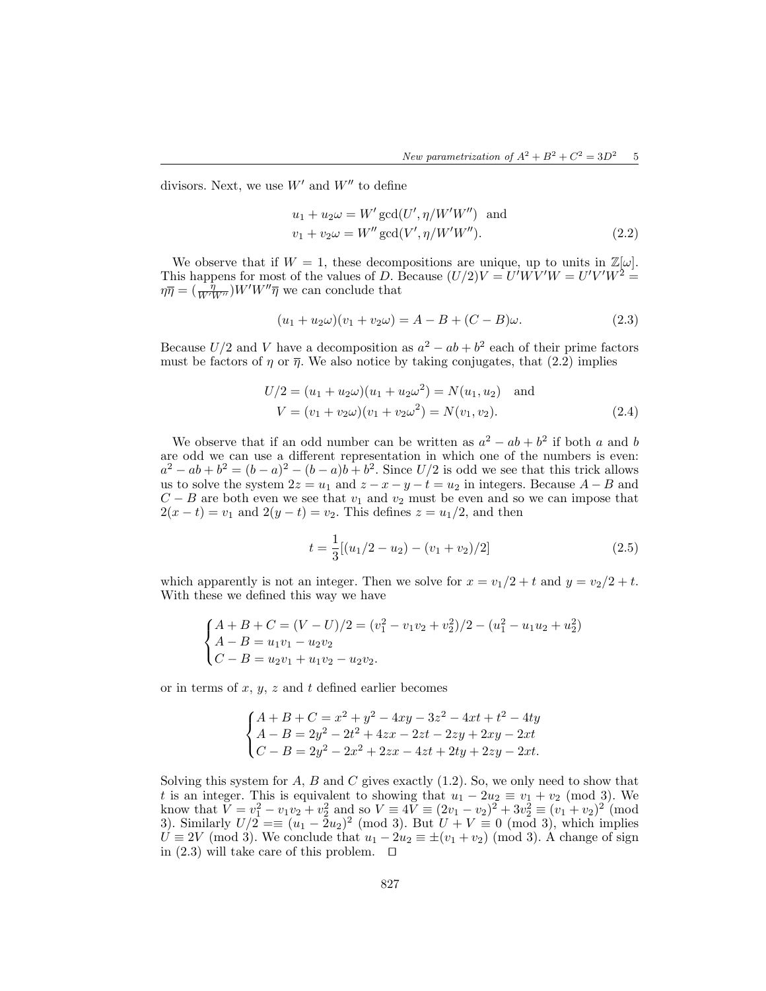divisors. Next, we use  $W'$  and  $W''$  to define

$$
u_1 + u_2 \omega = W' \gcd(U', \eta/W'W'') \text{ and}
$$
  

$$
v_1 + v_2 \omega = W'' \gcd(V', \eta/W'W'').
$$
 (2.2)

We observe that if  $W = 1$ , these decompositions are unique, up to units in  $\mathbb{Z}[\omega]$ . This happens for most of the values of D. Because  $(U/2)V = U'WV'W = U'V'W^2 =$  $\eta \overline{\eta} = \left(\frac{\eta}{W'W''}\right)W'W''\overline{\eta}$  we can conclude that

$$
(u_1 + u_2\omega)(v_1 + v_2\omega) = A - B + (C - B)\omega.
$$
 (2.3)

Because  $U/2$  and V have a decomposition as  $a^2 - ab + b^2$  each of their prime factors must be factors of  $\eta$  or  $\overline{\eta}$ . We also notice by taking conjugates, that (2.2) implies

$$
U/2 = (u_1 + u_2\omega)(u_1 + u_2\omega^2) = N(u_1, u_2) \text{ and}
$$
  
\n
$$
V = (v_1 + v_2\omega)(v_1 + v_2\omega^2) = N(v_1, v_2).
$$
 (2.4)

We observe that if an odd number can be written as  $a^2 - ab + b^2$  if both a and b are odd we can use a different representation in which one of the numbers is even:  $a^2 - ab + b^2 = (b - a)^2 - (b - a)b + b^2$ . Since  $U/2$  is odd we see that this trick allows us to solve the system  $2z = u_1$  and  $z - x - y - t = u_2$  in integers. Because  $A - B$  and  $C - B$  are both even we see that  $v_1$  and  $v_2$  must be even and so we can impose that  $2(x - t) = v_1$  and  $2(y - t) = v_2$ . This defines  $z = u_1/2$ , and then

$$
t = \frac{1}{3}[(u_1/2 - u_2) - (v_1 + v_2)/2]
$$
\n(2.5)

which apparently is not an integer. Then we solve for  $x = v_1/2 + t$  and  $y = v_2/2 + t$ . With these we defined this way we have

$$
\begin{cases}\nA + B + C = (V - U)/2 = (v_1^2 - v_1v_2 + v_2^2)/2 - (u_1^2 - u_1u_2 + u_2^2) \\
A - B = u_1v_1 - u_2v_2 \\
C - B = u_2v_1 + u_1v_2 - u_2v_2.\n\end{cases}
$$

or in terms of  $x, y, z$  and  $t$  defined earlier becomes

$$
\begin{cases}\nA+B+C=x^2+y^2-4xy-3z^2-4xt+t^2-4ty \\
A-B=2y^2-2t^2+4zx-2zt-2zy+2xy-2xt \\
C-B=2y^2-2x^2+2zx-4zt+2ty+2zy-2xt.\n\end{cases}
$$

Solving this system for  $A$ ,  $B$  and  $C$  gives exactly  $(1.2)$ . So, we only need to show that t is an integer. This is equivalent to showing that  $u_1 - 2u_2 \equiv v_1 + v_2 \pmod{3}$ . We know that  $\bar{V} = v_1^2 - v_1v_2 + v_2^2$  and so  $V = 4\bar{V} \equiv (2v_1 - v_2)^2 + 3v_2^2 \equiv (v_1 + v_2)^2 \pmod{2}$ 3). Similarly  $U/2 \equiv (u_1 - 2u_2)^2 \pmod{3}$ . But  $U + V \equiv 0 \pmod{3}$ , which implies  $U \equiv 2V \pmod{3}$ . We conclude that  $u_1 - 2u_2 \equiv \pm (v_1 + v_2) \pmod{3}$ . A change of sign in (2.3) will take care of this problem.  $\Box$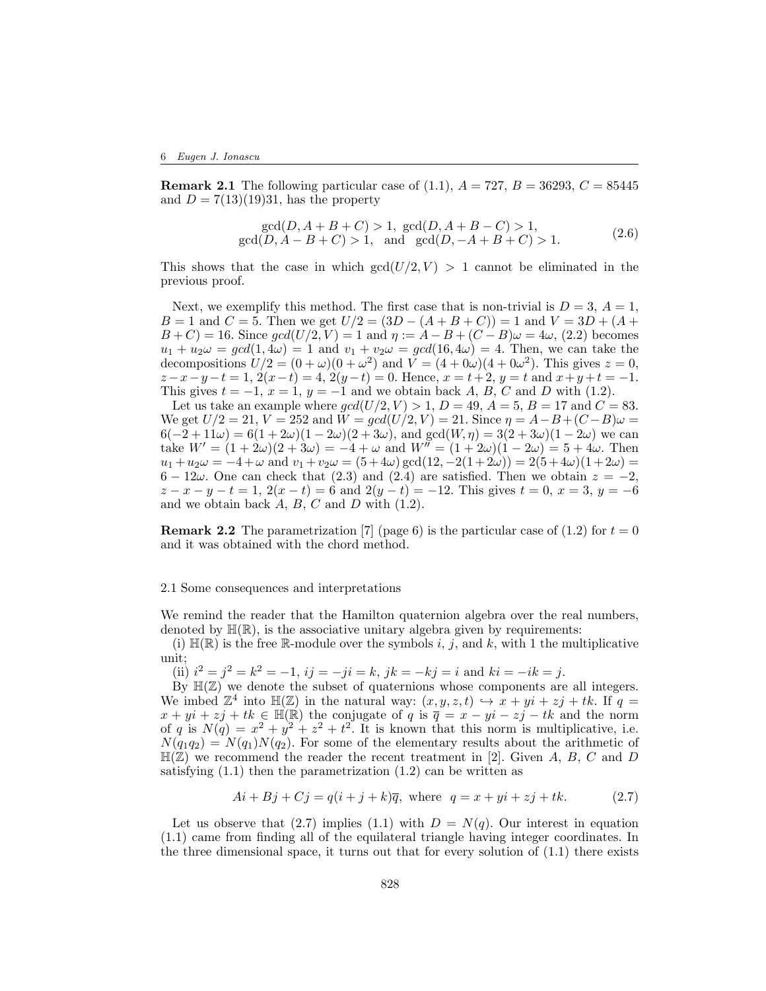**Remark 2.1** The following particular case of (1.1),  $A = 727$ ,  $B = 36293$ ,  $C = 85445$ and  $D = 7(13)(19)31$ , has the property

$$
\gcd(D, A + B + C) > 1, \gcd(D, A + B - C) > 1,\n\gcd(D, A - B + C) > 1, \text{ and } \gcd(D, -A + B + C) > 1.
$$
\n(2.6)

This shows that the case in which  $gcd(U/2, V) > 1$  cannot be eliminated in the previous proof.

Next, we exemplify this method. The first case that is non-trivial is  $D = 3$ ,  $A = 1$ ,  $B = 1$  and  $C = 5$ . Then we get  $U/2 = (3D - (A + B + C)) = 1$  and  $V = 3D + (A + B)$  $B + C$  = 16. Since  $gcd(U/2, V) = 1$  and  $\eta := A - B + (C - B)\omega = 4\omega$ , (2.2) becomes  $u_1 + u_2\omega = \gcd(1, 4\omega) = 1$  and  $v_1 + v_2\omega = \gcd(16, 4\omega) = 4$ . Then, we can take the decompositions  $U/2 = (0 + \omega)(0 + \omega^2)$  and  $V = (4 + 0\omega)(4 + 0\omega^2)$ . This gives  $z = 0$ ,  $z-x-y-t=1, 2(x-t)=4, 2(y-t)=0.$  Hence,  $x=t+2, y=t$  and  $x+y+t=-1.$ This gives  $t = -1$ ,  $x = 1$ ,  $y = -1$  and we obtain back A, B, C and D with (1.2).

Let us take an example where  $gcd(U/2, V) > 1$ ,  $D = 49$ ,  $A = 5$ ,  $B = 17$  and  $C = 83$ . We get  $U/2 = 21$ ,  $V = 252$  and  $W = \gcd(U/2, V) = 21$ . Since  $\eta = A - B + (C - B)\omega =$  $6(-2+11\omega) = 6(1+2\omega)(1-2\omega)(2+3\omega)$ , and  $gcd(W,\eta) = 3(2+3\omega)(1-2\omega)$  we can take  $W' = (1 + 2\omega)(2 + 3\omega) = -4 + \omega$  and  $W'' = (1 + 2\omega)(1 - 2\omega) = 5 + 4\omega$ . Then  $u_1 + u_2 \omega = -4 + \omega$  and  $v_1 + v_2 \omega = (5 + 4\omega) \gcd(12, -2(1 + 2\omega)) = 2(5 + 4\omega)(1 + 2\omega)$  $6 - 12\omega$ . One can check that (2.3) and (2.4) are satisfied. Then we obtain  $z = -2$ ,  $z - x - y - t = 1$ ,  $2(x - t) = 6$  and  $2(y - t) = -12$ . This gives  $t = 0$ ,  $x = 3$ ,  $y = -6$ and we obtain back  $A, B, C$  and  $D$  with  $(1.2)$ .

**Remark 2.2** The parametrization [7] (page 6) is the particular case of (1.2) for  $t = 0$ and it was obtained with the chord method.

## 2.1 Some consequences and interpretations

We remind the reader that the Hamilton quaternion algebra over the real numbers, denoted by  $\mathbb{H}(\mathbb{R})$ , is the associative unitary algebra given by requirements:

(i)  $\mathbb{H}(\mathbb{R})$  is the free R-module over the symbols i, j, and k, with 1 the multiplicative unit;

(ii)  $i^2 = j^2 = k^2 = -1$ ,  $ij = -ji = k$ ,  $jk = -kj = i$  and  $ki = -ik = j$ .

By  $\mathbb{H}(\mathbb{Z})$  we denote the subset of quaternions whose components are all integers. We imbed  $\mathbb{Z}^4$  into  $\mathbb{H}(\mathbb{Z})$  in the natural way:  $(x, y, z, t) \hookrightarrow x + yi + zj + tk$ . If  $q =$  $x + yi + zj + tk \in \mathbb{H}(\mathbb{R})$  the conjugate of q is  $\overline{q} = x - yi - zj - tk$  and the norm of q is  $N(q) = x^2 + y^2 + z^2 + t^2$ . It is known that this norm is multiplicative, i.e.  $N(q_1q_2) = N(q_1)N(q_2)$ . For some of the elementary results about the arithmetic of  $\mathbb{H}(\mathbb{Z})$  we recommend the reader the recent treatment in [2]. Given A, B, C and D satisfying  $(1.1)$  then the parametrization  $(1.2)$  can be written as

$$
Ai + Bj + Cj = q(i + j + k)\overline{q}, \text{ where } q = x + yi + zj + tk.
$$
 (2.7)

Let us observe that (2.7) implies (1.1) with  $D = N(q)$ . Our interest in equation (1.1) came from finding all of the equilateral triangle having integer coordinates. In the three dimensional space, it turns out that for every solution of (1.1) there exists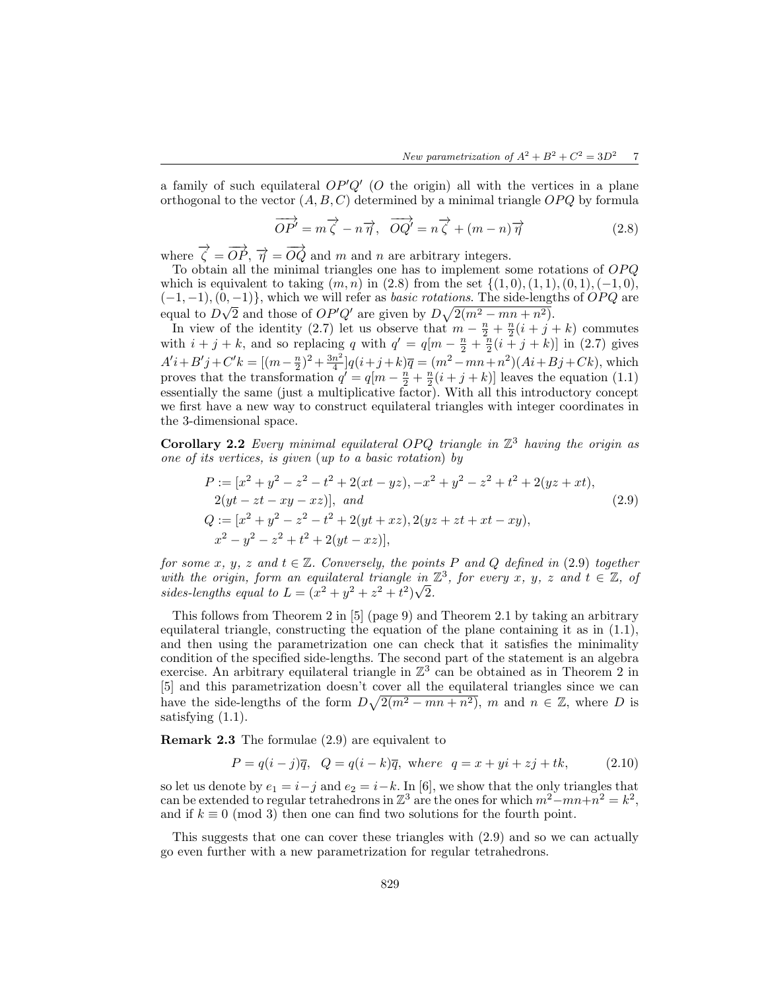a family of such equilateral  $OP'Q'$  (O the origin) all with the vertices in a plane orthogonal to the vector  $(A, B, C)$  determined by a minimal triangle  $OPQ$  by formula

$$
\overrightarrow{OP'} = m\overrightarrow{\zeta} - n\overrightarrow{\eta}, \overrightarrow{OQ'} = n\overrightarrow{\zeta} + (m-n)\overrightarrow{\eta}
$$
 (2.8)

where  $\vec{\zeta} = \vec{OP}, \ \vec{\eta} = \vec{OQ}$  and m and n are arbitrary integers.

To obtain all the minimal triangles one has to implement some rotations of OP Q which is equivalent to taking  $(m, n)$  in  $(2.8)$  from the set  $\{(1, 0), (1, 1), (0, 1), (-1, 0),$  $(-1, -1), (0, -1)$ , which we will refer as *basic rotations*. The side-lengths of *OPQ* are equal to  $D\sqrt{2}$  and those of  $OP'Q'$  are given by  $D\sqrt{2(m^2 - mn + n^2)}$ .

In view of the identity (2.7) let us observe that  $m - \frac{n}{2} + \frac{n}{2}(i + j + k)$  commutes with  $i + j + k$ , and so replacing q with  $q' = q[m - \frac{n}{2} + \frac{n}{2}(i + j + k)]$  in (2.7) gives  $A'i + B'j + C'k = [(m - \frac{n}{2})^2 + \frac{3n^2}{4}]$  $\frac{n^2}{4}[q(i+j+k)\overline{q} = (m^2 - mn + n^2)(Ai + Bj + Ck)$ , which proves that the transformation  $q' = q[m - \frac{n}{2} + \frac{n}{2}(i+j+k)]$  leaves the equation (1.1) essentially the same (just a multiplicative factor). With all this introductory concept we first have a new way to construct equilateral triangles with integer coordinates in the 3-dimensional space.

**Corollary 2.2** Every minimal equilateral OPQ triangle in  $\mathbb{Z}^3$  having the origin as one of its vertices, is given (up to a basic rotation) by

$$
P := [x^{2} + y^{2} - z^{2} - t^{2} + 2(xt - yz), -x^{2} + y^{2} - z^{2} + t^{2} + 2(yz + xt),
$$
  
\n
$$
2(yt - zt - xy - xz)], and
$$
  
\n
$$
Q := [x^{2} + y^{2} - z^{2} - t^{2} + 2(yt + xz), 2(yz + zt + xt - xy),
$$
  
\n
$$
x^{2} - y^{2} - z^{2} + t^{2} + 2(yt - xz)],
$$
\n(2.9)

for some x, y, z and  $t \in \mathbb{Z}$ . Conversely, the points P and Q defined in (2.9) together with the origin, form an equilateral triangle in  $\mathbb{Z}^3$ , for every x, y, z and  $t \in \mathbb{Z}$ , of sides-lengths equal to  $L = (x^2 + y^2 + z^2 + t^2)\sqrt{2}$ .

This follows from Theorem 2 in [5] (page 9) and Theorem 2.1 by taking an arbitrary equilateral triangle, constructing the equation of the plane containing it as in  $(1.1)$ , and then using the parametrization one can check that it satisfies the minimality condition of the specified side-lengths. The second part of the statement is an algebra exercise. An arbitrary equilateral triangle in  $\mathbb{Z}^3$  can be obtained as in Theorem 2 in [5] and this parametrization doesn't cover all the equilateral triangles since we can have the side-lengths of the form  $D\sqrt{2(m^2 - mn + n^2)}$ , m and  $n \in \mathbb{Z}$ , where D is satisfying  $(1.1)$ .

Remark 2.3 The formulae (2.9) are equivalent to

$$
P = q(i - j)\overline{q}, \quad Q = q(i - k)\overline{q}, \text{ where } q = x + yi + zj + tk,
$$
\n(2.10)

so let us denote by  $e_1 = i-j$  and  $e_2 = i-k$ . In [6], we show that the only triangles that can be extended to regular tetrahedrons in  $\mathbb{Z}^3$  are the ones for which  $m^2 - mn + n^2 = k^2$ , and if  $k \equiv 0 \pmod{3}$  then one can find two solutions for the fourth point.

This suggests that one can cover these triangles with (2.9) and so we can actually go even further with a new parametrization for regular tetrahedrons.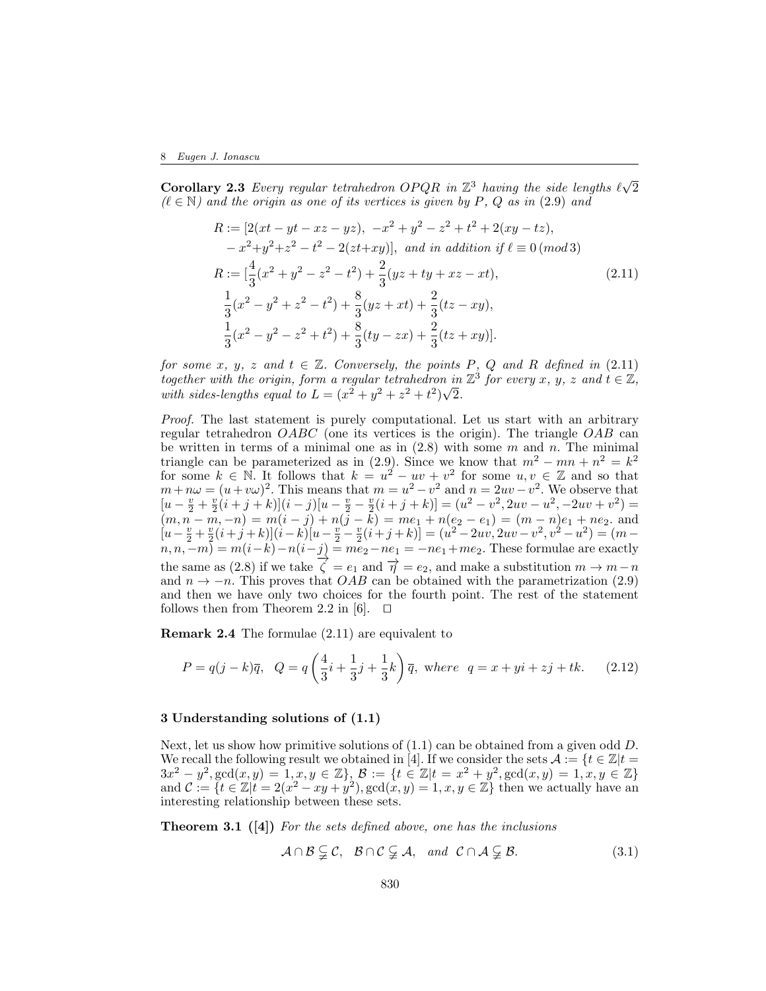**Corollary 2.3** Every regular tetrahedron OPQR in  $\mathbb{Z}^3$  having the side lengths  $\ell\sqrt{2}$  $(\ell \in \mathbb{N})$  and the origin as one of its vertices is given by P, Q as in (2.9) and

$$
R := [2(xt - yt - xz - yz), -x^2 + y^2 - z^2 + t^2 + 2(xy - tz),-x^2 + y^2 + z^2 - t^2 - 2(zt + xy)], and in addition if  $\ell \equiv 0 \pmod{3}$   
\n
$$
R := \left[\frac{4}{3}(x^2 + y^2 - z^2 - t^2) + \frac{2}{3}(yz + ty + xz - xt),\right]
$$
\n
$$
\frac{1}{3}(x^2 - y^2 + z^2 - t^2) + \frac{8}{3}(yz + xt) + \frac{2}{3}(tz - xy),\n\frac{1}{3}(x^2 - y^2 - z^2 + t^2) + \frac{8}{3}(ty - zx) + \frac{2}{3}(tz + xy)].
$$
\n(2.11)
$$

for some x, y, z and  $t \in \mathbb{Z}$ . Conversely, the points P, Q and R defined in (2.11) together with the origin, form a regular tetrahedron in  $\mathbb{Z}^3$  for every x, y, z and  $t \in \mathbb{Z}$ , with sides-lengths equal to  $L = (x^2 + y^2 + z^2 + t^2)\sqrt{2}$ .

Proof. The last statement is purely computational. Let us start with an arbitrary regular tetrahedron  $OABC$  (one its vertices is the origin). The triangle  $OAB$  can be written in terms of a minimal one as in  $(2.8)$  with some m and n. The minimal triangle can be parameterized as in (2.9). Since we know that  $m^2 - mn + n^2 = k^2$ for some  $k \in \mathbb{N}$ . It follows that  $k = u^2 - uv + v^2$  for some  $u, v \in \mathbb{Z}$  and so that  $m + n\omega = (u + v\omega)^2$ . This means that  $m = u^2 - v^2$  and  $n = 2uv - v^2$ . We observe that  $[u - \frac{v}{2} + \frac{v}{2}(\dot{i} + \dot{j} + \dot{k})](\dot{i} - \dot{j})[u - \frac{v}{2} - \frac{v}{2}(\dot{i} + \dot{j} + \dot{k})] = (u^2 - v^2, 2uv - u^2, -2uv + v^2) =$  $(m, n-m, -n) = m(i - j) + n(j - k) = me_1 + n(e_2 - e_1) = (m - n)e_1 + ne_2$  and  $[u - \frac{v}{2} + \frac{v}{2}(i + j + k)](i - k)(u - \frac{v}{2} - \frac{v}{2}(i + j + k))] = (u^2 - 2uv, 2uv - v^2, v^2 - u^2) = (m - \frac{v}{2})(i + j + k)$  $n, n, -m) = m(i-k) - n(i-j) = me_2 - ne_1 = -ne_1 + me_2$ . These formulae are exactly the same as (2.8) if we take  $\vec{\zeta} = e_1$  and  $\vec{\eta} = e_2$ , and make a substitution  $m \to m-n$ and  $n \to -n$ . This proves that *OAB* can be obtained with the parametrization (2.9) and then we have only two choices for the fourth point. The rest of the statement follows then from Theorem 2.2 in [6].  $\Box$ 

Remark 2.4 The formulae (2.11) are equivalent to

$$
P = q(j - k)\overline{q}, \quad Q = q\left(\frac{4}{3}i + \frac{1}{3}j + \frac{1}{3}k\right)\overline{q}, \text{ where } q = x + yi + zj + tk. \tag{2.12}
$$

#### 3 Understanding solutions of (1.1)

Next, let us show how primitive solutions of  $(1.1)$  can be obtained from a given odd D. We recall the following result we obtained in [4]. If we consider the sets  $\mathcal{A} := \{t \in \mathbb{Z} | t =$  $3x^2 - y^2$ ,  $gcd(x, y) = 1, x, y \in \mathbb{Z}$ ,  $\mathcal{B} := \{t \in \mathbb{Z} | t = x^2 + y^2$ ,  $gcd(x, y) = 1, x, y \in \mathbb{Z}\}\$ and  $\mathcal{C} := \{t \in \mathbb{Z} | t = 2(x^2 - xy + y^2), \gcd(x, y) = 1, x, y \in \mathbb{Z}\}\)$  then we actually have an interesting relationship between these sets.

**Theorem 3.1** ([4]) For the sets defined above, one has the inclusions

$$
\mathcal{A} \cap \mathcal{B} \subsetneq \mathcal{C}, \quad \mathcal{B} \cap \mathcal{C} \subsetneq \mathcal{A}, \quad \text{and} \quad \mathcal{C} \cap \mathcal{A} \subsetneq \mathcal{B}.
$$
 (3.1)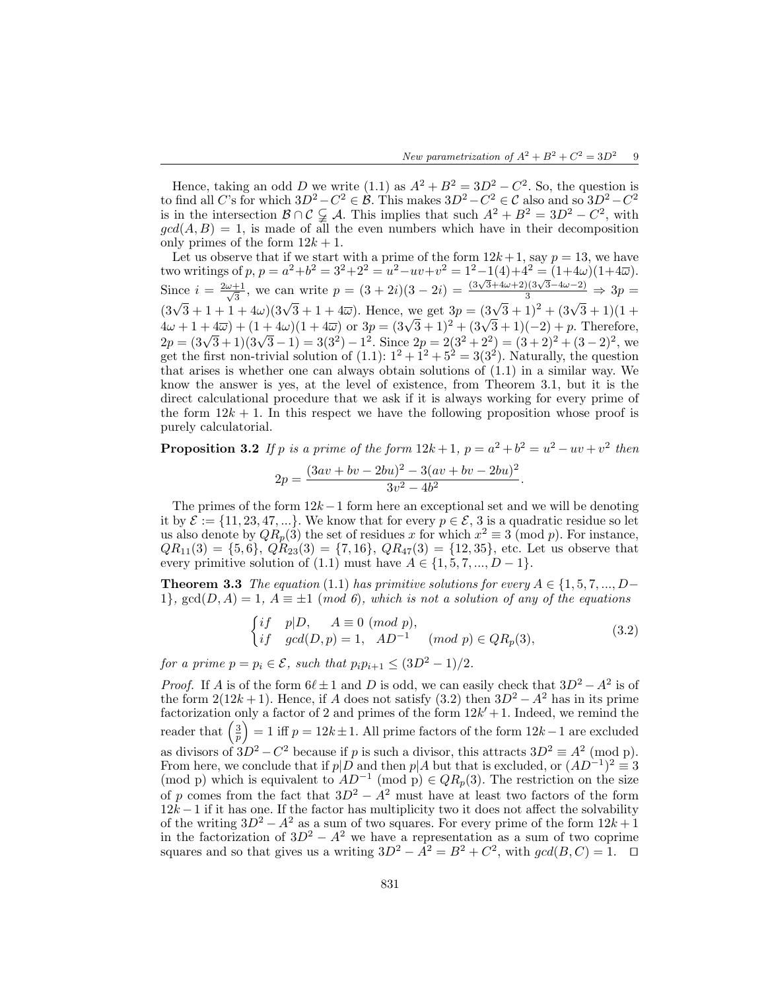Hence, taking an odd D we write (1.1) as  $A^2 + B^2 = 3D^2 - C^2$ . So, the question is to find all C's for which  $3D^2 - C^2 \in \mathcal{B}$ . This makes  $3D^2 - C^2 \in \mathcal{C}$  also and so  $3D^2 - C^2$ is in the intersection  $\mathcal{B} \cap \mathcal{C} \subsetneq \mathcal{A}$ . This implies that such  $A^2 + B^2 = 3D^2 - C^2$ , with  $gcd(A, B) = 1$ , is made of all the even numbers which have in their decomposition only primes of the form  $12k + 1$ .

Let us observe that if we start with a prime of the form  $12k + 1$ , say  $p = 13$ , we have two writings of  $p, p = a^2 + b^2 = 3^2 + 2^2 = u^2 - uv + v^2 = 1^2 - 1(4) + 4^2 = (1 + 4\omega)(1 + 4\overline{\omega}).$ Since  $i = \frac{2\omega+1}{\sqrt{2}}$  $\frac{1}{3}$ , we can write  $p = (3 + 2i)(3 - 2i) = \frac{(3\sqrt{3} + 4\omega + 2)(3\sqrt{3} - 4\omega - 2)}{3} \Rightarrow 3p =$  $(3\sqrt{3}+1+1+4\omega)(3\sqrt{3}+1+4\overline{\omega})$ . Hence, we get  $3p=(3\sqrt{3}+1)^2+(3\sqrt{3}+1)(1+4\overline{\omega})$  $4\omega + 1 + 4\overline{\omega}$  +  $(1 + 4\omega)(1 + 4\overline{\omega})$  or  $3p = (3\sqrt{3} + 1)^2 + (3\sqrt{3} + 1)(-2) + p$ . Therefore,  $2p = (3\sqrt{3} + 1)(3\sqrt{3} - 1) = 3(3^2) - 1^2$ . Since  $2p = 2(3^2 + 2^2) = (3 + 2)^2 + (3 - 2)^2$ , we get the first non-trivial solution of  $(1.1): 1^2 + 1^2 + 5^2 = 3(3^2)$ . Naturally, the question that arises is whether one can always obtain solutions of  $(1.1)$  in a similar way. We know the answer is yes, at the level of existence, from Theorem 3.1, but it is the direct calculational procedure that we ask if it is always working for every prime of the form  $12k + 1$ . In this respect we have the following proposition whose proof is purely calculatorial.

**Proposition 3.2** If p is a prime of the form  $12k+1$ ,  $p = a^2 + b^2 = u^2 - uv + v^2$  then

$$
2p = \frac{(3av + bv - 2bu)^2 - 3(av + bv - 2bu)^2}{3v^2 - 4b^2}.
$$

The primes of the form  $12k-1$  form here an exceptional set and we will be denoting it by  $\mathcal{E} := \{11, 23, 47, ...\}$ . We know that for every  $p \in \mathcal{E}$ , 3 is a quadratic residue so let us also denote by  $QR_p(3)$  the set of residues x for which  $x^2 \equiv 3 \pmod{p}$ . For instance,  $QR_{11}(3) = \{5, 6\}, QR_{23}(3) = \{7, 16\}, QR_{47}(3) = \{12, 35\}, \text{ etc.}$  Let us observe that every primitive solution of (1.1) must have  $A \in \{1, 5, 7, ..., D-1\}.$ 

**Theorem 3.3** The equation (1.1) has primitive solutions for every  $A \in \{1, 5, 7, ..., D-$ 1},  $gcd(D, A) = 1$ ,  $A \equiv \pm 1 \pmod{6}$ , which is not a solution of any of the equations

$$
\begin{cases}\nif \quad p|D, \quad A \equiv 0 \pmod{p}, \\
if \quad gcd(D, p) = 1, \quad AD^{-1} \quad (mod \ p) \in QR_p(3),\n\end{cases} \tag{3.2}
$$

for a prime  $p = p_i \in \mathcal{E}$ , such that  $p_i p_{i+1} \leq (3D^2 - 1)/2$ .

*Proof.* If A is of the form  $6\ell \pm 1$  and D is odd, we can easily check that  $3D^2 - A^2$  is of the form  $2(12k+1)$ . Hence, if A does not satisfy  $(3.2)$  then  $3D^2 - A^2$  has in its prime factorization only a factor of 2 and primes of the form  $12k' + 1$ . Indeed, we remind the reader that  $\left(\frac{3}{p}\right)$  $= 1$  iff  $p = 12k \pm 1$ . All prime factors of the form  $12k-1$  are excluded as divisors of  $3D^2 - C^2$  because if p is such a divisor, this attracts  $3D^2 \equiv A^2 \pmod{p}$ . From here, we conclude that if  $p|D$  and then  $p|A$  but that is excluded, or  $(AD^{-1})^2 \equiv 3$ (mod p) which is equivalent to  $AD^{-1}$  (mod p)  $\in QR_p(3)$ . The restriction on the size of p comes from the fact that  $3D^2 - A^2$  must have at least two factors of the form  $12k - 1$  if it has one. If the factor has multiplicity two it does not affect the solvability of the writing  $3D^2 - A^2$  as a sum of two squares. For every prime of the form  $12k+1$ in the factorization of  $3D^2 - A^2$  we have a representation as a sum of two coprime squares and so that gives us a writing  $3D^2 - \overline{A}^2 = B^2 + C^2$ , with  $gcd(B, C) = 1$ .  $\Box$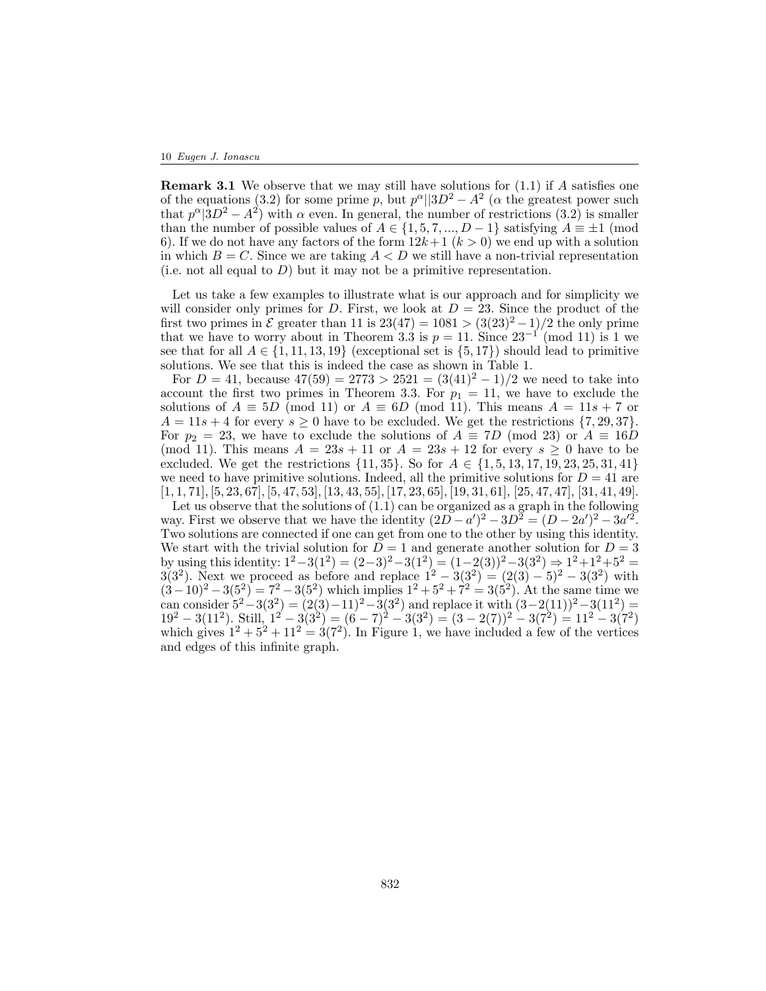#### 10 Eugen J. Ionascu

**Remark 3.1** We observe that we may still have solutions for  $(1.1)$  if A satisfies one of the equations (3.2) for some prime p, but  $p^{\alpha}||3D^2 - A^2$  ( $\alpha$  the greatest power such that  $p^{\alpha}$   $(3D^2 - A^2)$  with  $\alpha$  even. In general, the number of restrictions  $(3.2)$  is smaller than the number of possible values of  $A \in \{1, 5, 7, ..., D-1\}$  satisfying  $A \equiv \pm 1$  (mod 6). If we do not have any factors of the form  $12k+1$   $(k>0)$  we end up with a solution in which  $B = C$ . Since we are taking  $A \leq D$  we still have a non-trivial representation (i.e. not all equal to  $D$ ) but it may not be a primitive representation.

Let us take a few examples to illustrate what is our approach and for simplicity we will consider only primes for D. First, we look at  $D = 23$ . Since the product of the first two primes in  $\mathcal E$  greater than 11 is  $23(47) = 1081 > (3(23)^2 - 1)/2$  the only prime that we have to worry about in Theorem 3.3 is  $p = 11$ . Since  $23^{-1} \pmod{11}$  is 1 we see that for all  $A \in \{1, 11, 13, 19\}$  (exceptional set is  $\{5, 17\}$ ) should lead to primitive solutions. We see that this is indeed the case as shown in Table 1.

For  $D = 41$ , because  $47(59) = 2773 > 2521 = (3(41)^2 - 1)/2$  we need to take into account the first two primes in Theorem 3.3. For  $p_1 = 11$ , we have to exclude the solutions of  $A \equiv 5D \pmod{11}$  or  $A \equiv 6D \pmod{11}$ . This means  $A = 11s + 7$  or  $A = 11s + 4$  for every  $s \geq 0$  have to be excluded. We get the restrictions  $\{7, 29, 37\}$ . For  $p_2 = 23$ , we have to exclude the solutions of  $A \equiv 7D \pmod{23}$  or  $A \equiv 16D$ (mod 11). This means  $A = 23s + 11$  or  $A = 23s + 12$  for every  $s \geq 0$  have to be excluded. We get the restrictions  $\{11, 35\}$ . So for  $A \in \{1, 5, 13, 17, 19, 23, 25, 31, 41\}$ we need to have primitive solutions. Indeed, all the primitive solutions for  $D = 41$  are  $[1, 1, 71], [5, 23, 67], [5, 47, 53], [13, 43, 55], [17, 23, 65], [19, 31, 61], [25, 47, 47], [31, 41, 49].$ 

Let us observe that the solutions of (1.1) can be organized as a graph in the following way. First we observe that we have the identity  $(2D - a')^2 - 3D^2 = (D - 2a')^2 - 3a'^2$ . Two solutions are connected if one can get from one to the other by using this identity. We start with the trivial solution for  $D = 1$  and generate another solution for  $D = 3$ by using this identity:  $1^2-3(1^2) = (2-3)^2-3(1^2) = (1-2(3))^2-3(3^2) \Rightarrow 1^2+1^2+5^2 =$  $3(3^2)$ . Next we proceed as before and replace  $1^2 - 3(3^2) = (2(3) - 5)^2 - 3(3^2)$  with  $(3-10)^2 - 3(5^2) = 7^2 - 3(5^2)$  which implies  $1^2 + 5^2 + 7^2 = 3(5^2)$ . At the same time we can consider  $5^2 - 3(3^2) = (2(3) - 11)^2 - 3(3^2)$  and replace it with  $(3-2(11))^2 - 3(11^2) =$  $19^{2} - 3(11^{2})$ . Still,  $1^{2} - 3(3^{2}) = (6 - 7)^{2} - 3(3^{2}) = (3 - 2(7))^{2} - 3(7^{2}) = 11^{2} - 3(7^{2})$ which gives  $1^2 + 5^2 + 11^2 = 3(7^2)$ . In Figure 1, we have included a few of the vertices and edges of this infinite graph.